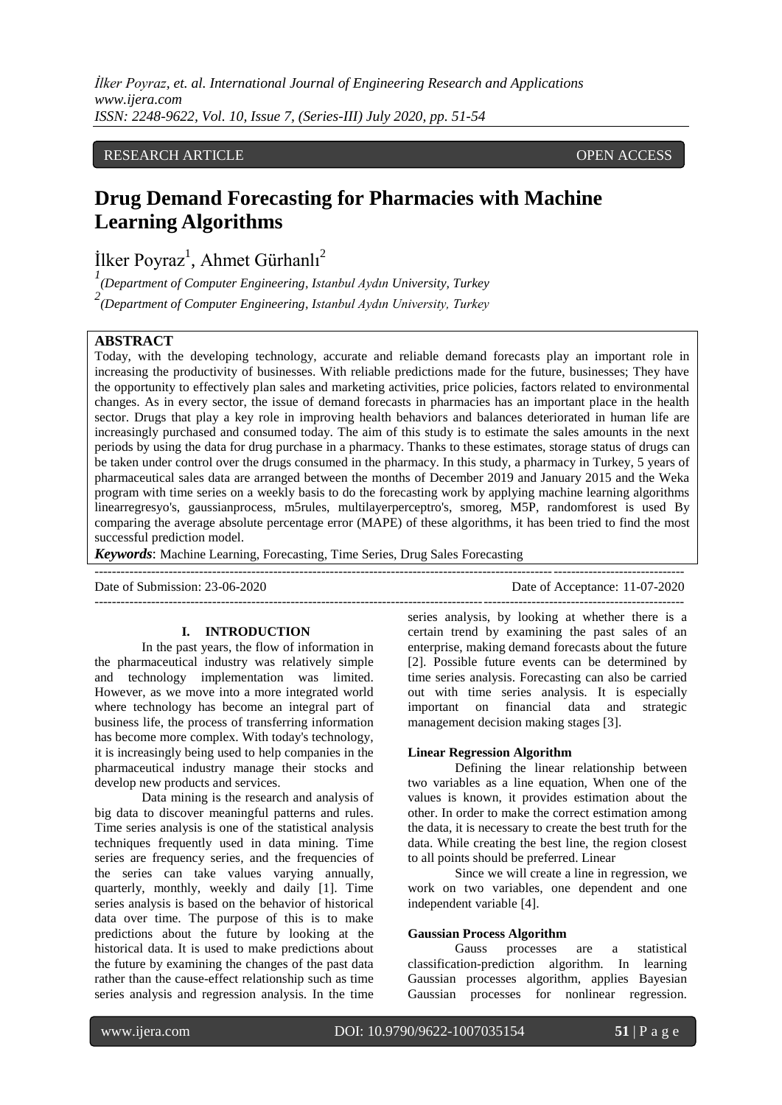*İlker Poyraz, et. al. International Journal of Engineering Research and Applications www.ijera.com ISSN: 2248-9622, Vol. 10, Issue 7, (Series-III) July 2020, pp. 51-54*

## RESEARCH ARTICLE **CONSERVERS** OPEN ACCESS

# **Drug Demand Forecasting for Pharmacies with Machine Learning Algorithms**

İlker Poyraz<sup>1</sup>, Ahmet Gürhanlı<sup>2</sup>

*1 (Department of Computer Engineering, Istanbul Aydın University, Turkey*

*2 (Department of Computer Engineering, Istanbul Aydın University, Turkey*

# **ABSTRACT**

Today, with the developing technology, accurate and reliable demand forecasts play an important role in increasing the productivity of businesses. With reliable predictions made for the future, businesses; They have the opportunity to effectively plan sales and marketing activities, price policies, factors related to environmental changes. As in every sector, the issue of demand forecasts in pharmacies has an important place in the health sector. Drugs that play a key role in improving health behaviors and balances deteriorated in human life are increasingly purchased and consumed today. The aim of this study is to estimate the sales amounts in the next periods by using the data for drug purchase in a pharmacy. Thanks to these estimates, storage status of drugs can be taken under control over the drugs consumed in the pharmacy. In this study, a pharmacy in Turkey, 5 years of pharmaceutical sales data are arranged between the months of December 2019 and January 2015 and the Weka program with time series on a weekly basis to do the forecasting work by applying machine learning algorithms linearregresyo's, gaussianprocess, m5rules, multilayerperceptro's, smoreg, M5P, randomforest is used By comparing the average absolute percentage error (MAPE) of these algorithms, it has been tried to find the most successful prediction model.

---------------------------------------------------------------------------------------------------------------------------------------

*Keywords*: Machine Learning, Forecasting, Time Series, Drug Sales Forecasting

Date of Submission: 23-06-2020 Date of Acceptance: 11-07-2020 ---------------------------------------------------------------------------------------------------------------------------------------

#### **I. INTRODUCTION**

In the past years, the flow of information in the pharmaceutical industry was relatively simple and technology implementation was limited. However, as we move into a more integrated world where technology has become an integral part of business life, the process of transferring information has become more complex. With today's technology, it is increasingly being used to help companies in the pharmaceutical industry manage their stocks and develop new products and services.

Data mining is the research and analysis of big data to discover meaningful patterns and rules. Time series analysis is one of the statistical analysis techniques frequently used in data mining. Time series are frequency series, and the frequencies of the series can take values varying annually, quarterly, monthly, weekly and daily [1]. Time series analysis is based on the behavior of historical data over time. The purpose of this is to make predictions about the future by looking at the historical data. It is used to make predictions about the future by examining the changes of the past data rather than the cause-effect relationship such as time series analysis and regression analysis. In the time

series analysis, by looking at whether there is a certain trend by examining the past sales of an enterprise, making demand forecasts about the future [2]. Possible future events can be determined by time series analysis. Forecasting can also be carried out with time series analysis. It is especially important on financial data and strategic management decision making stages [3].

#### **Linear Regression Algorithm**

Defining the linear relationship between two variables as a line equation, When one of the values is known, it provides estimation about the other. In order to make the correct estimation among the data, it is necessary to create the best truth for the data. While creating the best line, the region closest to all points should be preferred. Linear

Since we will create a line in regression, we work on two variables, one dependent and one independent variable [4].

#### **Gaussian Process Algorithm**

Gauss processes are a statistical classification-prediction algorithm. In learning Gaussian processes algorithm, applies Bayesian Gaussian processes for nonlinear regression.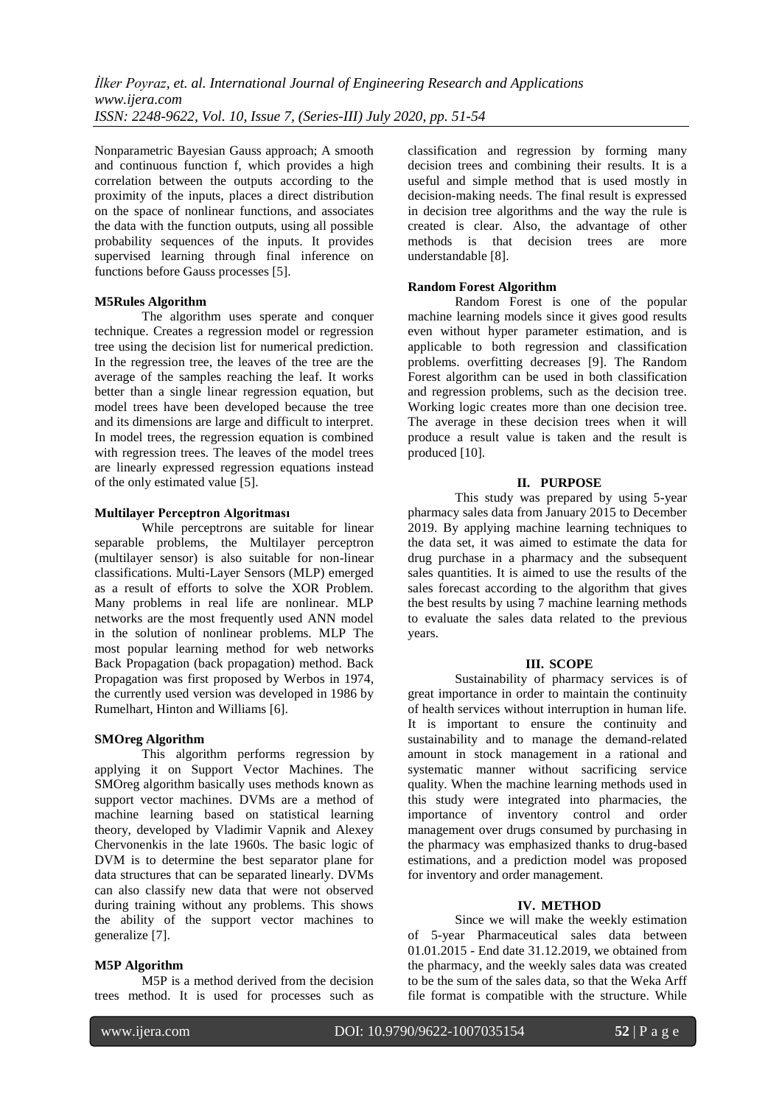Nonparametric Bayesian Gauss approach; A smooth and continuous function f, which provides a high correlation between the outputs according to the proximity of the inputs, places a direct distribution on the space of nonlinear functions, and associates the data with the function outputs, using all possible probability sequences of the inputs. It provides supervised learning through final inference on functions before Gauss processes [5].

## **M5Rules Algorithm**

The algorithm uses sperate and conquer technique. Creates a regression model or regression tree using the decision list for numerical prediction. In the regression tree, the leaves of the tree are the average of the samples reaching the leaf. It works better than a single linear regression equation, but model trees have been developed because the tree and its dimensions are large and difficult to interpret. In model trees, the regression equation is combined with regression trees. The leaves of the model trees are linearly expressed regression equations instead of the only estimated value [5].

## **Multilayer Perceptron Algoritması**

While perceptrons are suitable for linear separable problems, the Multilayer perceptron (multilayer sensor) is also suitable for non-linear classifications. Multi-Layer Sensors (MLP) emerged as a result of efforts to solve the XOR Problem. Many problems in real life are nonlinear. MLP networks are the most frequently used ANN model in the solution of nonlinear problems. MLP The most popular learning method for web networks Back Propagation (back propagation) method. Back Propagation was first proposed by Werbos in 1974, the currently used version was developed in 1986 by Rumelhart, Hinton and Williams [6].

## **SMOreg Algorithm**

This algorithm performs regression by applying it on Support Vector Machines. The SMOreg algorithm basically uses methods known as support vector machines. DVMs are a method of machine learning based on statistical learning theory, developed by Vladimir Vapnik and Alexey Chervonenkis in the late 1960s. The basic logic of DVM is to determine the best separator plane for data structures that can be separated linearly. DVMs can also classify new data that were not observed during training without any problems. This shows the ability of the support vector machines to generalize [7].

## **M5P Algorithm**

M5P is a method derived from the decision trees method. It is used for processes such as classification and regression by forming many decision trees and combining their results. It is a useful and simple method that is used mostly in decision-making needs. The final result is expressed in decision tree algorithms and the way the rule is created is clear. Also, the advantage of other methods is that decision trees are more understandable [8].

## **Random Forest Algorithm**

Random Forest is one of the popular machine learning models since it gives good results even without hyper parameter estimation, and is applicable to both regression and classification problems. overfitting decreases [9]. The Random Forest algorithm can be used in both classification and regression problems, such as the decision tree. Working logic creates more than one decision tree. The average in these decision trees when it will produce a result value is taken and the result is produced [10].

## **II. PURPOSE**

This study was prepared by using 5-year pharmacy sales data from January 2015 to December 2019. By applying machine learning techniques to the data set, it was aimed to estimate the data for drug purchase in a pharmacy and the subsequent sales quantities. It is aimed to use the results of the sales forecast according to the algorithm that gives the best results by using 7 machine learning methods to evaluate the sales data related to the previous years.

## **III. SCOPE**

Sustainability of pharmacy services is of great importance in order to maintain the continuity of health services without interruption in human life. It is important to ensure the continuity and sustainability and to manage the demand-related amount in stock management in a rational and systematic manner without sacrificing service quality. When the machine learning methods used in this study were integrated into pharmacies, the importance of inventory control and order management over drugs consumed by purchasing in the pharmacy was emphasized thanks to drug-based estimations, and a prediction model was proposed for inventory and order management.

## **IV. METHOD**

Since we will make the weekly estimation of 5-year Pharmaceutical sales data between 01.01.2015 - End date 31.12.2019, we obtained from the pharmacy, and the weekly sales data was created to be the sum of the sales data, so that the Weka Arff file format is compatible with the structure. While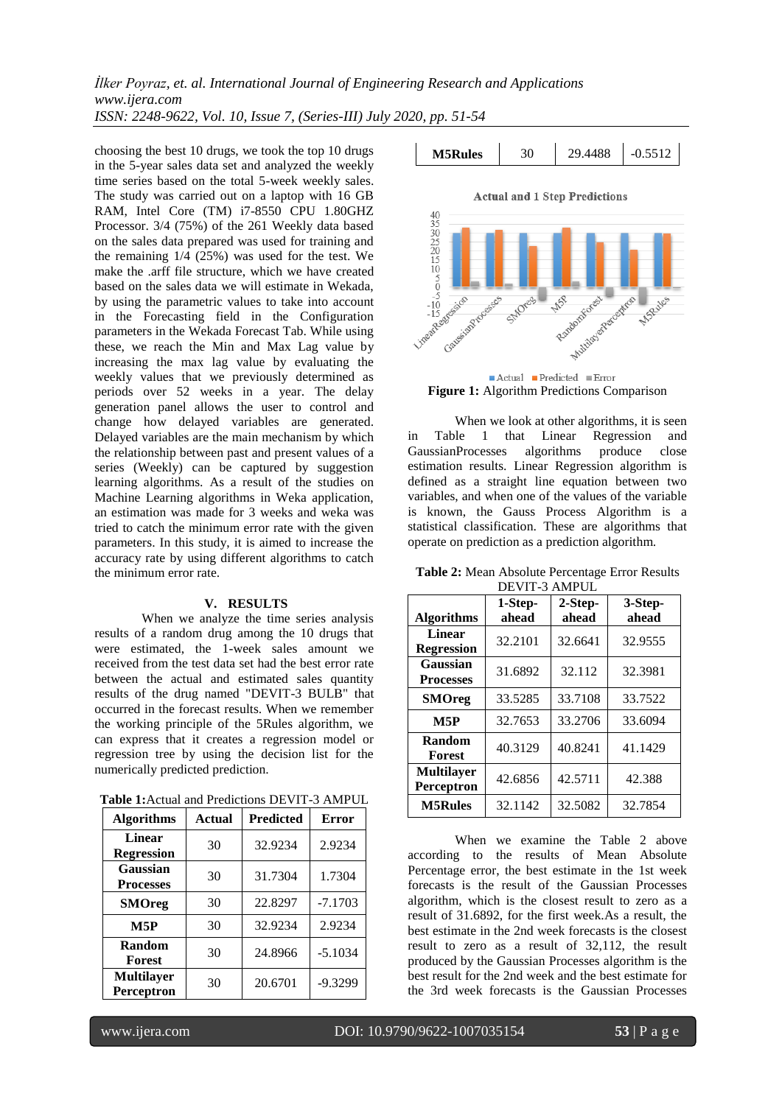*İlker Poyraz, et. al. International Journal of Engineering Research and Applications www.ijera.com ISSN: 2248-9622, Vol. 10, Issue 7, (Series-III) July 2020, pp. 51-54*

choosing the best 10 drugs, we took the top 10 drugs in the 5-year sales data set and analyzed the weekly time series based on the total 5-week weekly sales. The study was carried out on a laptop with 16 GB RAM, Intel Core (TM) i7-8550 CPU 1.80GHZ Processor. 3/4 (75%) of the 261 Weekly data based on the sales data prepared was used for training and the remaining 1/4 (25%) was used for the test. We make the .arff file structure, which we have created based on the sales data we will estimate in Wekada, by using the parametric values to take into account in the Forecasting field in the Configuration parameters in the Wekada Forecast Tab. While using these, we reach the Min and Max Lag value by increasing the max lag value by evaluating the weekly values that we previously determined as periods over 52 weeks in a year. The delay generation panel allows the user to control and change how delayed variables are generated. Delayed variables are the main mechanism by which the relationship between past and present values of a series (Weekly) can be captured by suggestion learning algorithms. As a result of the studies on Machine Learning algorithms in Weka application, an estimation was made for 3 weeks and weka was tried to catch the minimum error rate with the given parameters. In this study, it is aimed to increase the accuracy rate by using different algorithms to catch the minimum error rate.

## **V. RESULTS**

When we analyze the time series analysis results of a random drug among the 10 drugs that were estimated, the 1-week sales amount we received from the test data set had the best error rate between the actual and estimated sales quantity results of the drug named "DEVIT-3 BULB" that occurred in the forecast results. When we remember the working principle of the 5Rules algorithm, we can express that it creates a regression model or regression tree by using the decision list for the numerically predicted prediction.

**Table 1:**Actual and Predictions DEVIT-3 AMPUL

| <b>Algorithms</b>                  | <b>Actual</b> | <b>Predicted</b> | <b>Error</b> |
|------------------------------------|---------------|------------------|--------------|
| <b>Linear</b><br><b>Regression</b> | 30            | 32.9234          | 2.9234       |
| Gaussian<br><b>Processes</b>       | 30            | 31.7304          | 1.7304       |
| <b>SMOreg</b>                      | 30            | 22.8297          | $-7.1703$    |
| M5P                                | 30            | 32.9234          | 2.9234       |
| Random<br><b>Forest</b>            | 30            | 24.8966          | $-5.1034$    |
| <b>Multilayer</b><br>Perceptron    | 30            | 20.6701          | $-9.3299$    |



**Figure 1:** Algorithm Predictions Comparison

When we look at other algorithms, it is seen in Table 1 that Linear Regression and<br>GaussianProcesses algorithms produce close GaussianProcesses algorithms produce close estimation results. Linear Regression algorithm is defined as a straight line equation between two variables, and when one of the values of the variable is known, the Gauss Process Algorithm is a statistical classification. These are algorithms that operate on prediction as a prediction algorithm.

**Table 2:** Mean Absolute Percentage Error Results DEVIT-3 AMPUL

| <b>Algorithms</b>               | 1-Step-<br>ahead | 2-Step-<br>ahead | 3-Step-<br>ahead |
|---------------------------------|------------------|------------------|------------------|
| Linear<br><b>Regression</b>     | 32.2101          | 32.6641          | 32.9555          |
| Gaussian<br><b>Processes</b>    | 31.6892          | 32.112           | 32.3981          |
| <b>SMOreg</b>                   | 33.5285          | 33.7108          | 33.7522          |
| M5P                             | 32.7653          | 33.2706          | 33.6094          |
| Random<br>Forest                | 40.3129          | 40.8241          | 41.1429          |
| <b>Multilaver</b><br>Perceptron | 42.6856          | 42.5711          | 42.388           |
| <b>M5Rules</b>                  | 32.1142          | 32.5082          | 32.7854          |

When we examine the Table 2 above according to the results of Mean Absolute Percentage error, the best estimate in the 1st week forecasts is the result of the Gaussian Processes algorithm, which is the closest result to zero as a result of 31.6892, for the first week.As a result, the best estimate in the 2nd week forecasts is the closest result to zero as a result of 32,112, the result produced by the Gaussian Processes algorithm is the best result for the 2nd week and the best estimate for the 3rd week forecasts is the Gaussian Processes